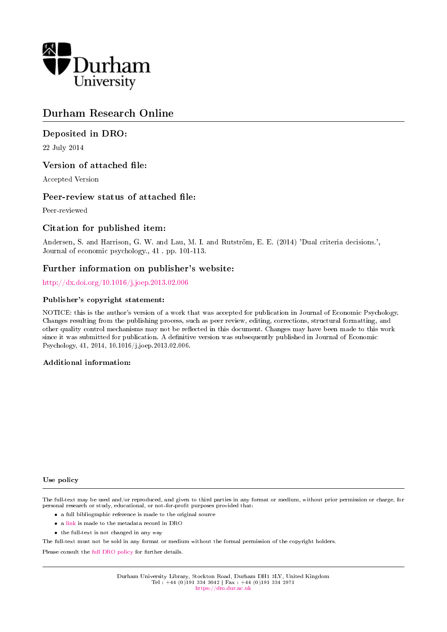

# Durham Research Online

## Deposited in DRO:

22 July 2014

## Version of attached file:

Accepted Version

## Peer-review status of attached file:

Peer-reviewed

## Citation for published item:

Andersen, S. and Harrison, G. W. and Lau, M. I. and Rutström, E. E. (2014) 'Dual criteria decisions.', Journal of economic psychology., 41 . pp. 101-113.

## Further information on publisher's website:

<http://dx.doi.org/10.1016/j.joep.2013.02.006>

#### Publisher's copyright statement:

NOTICE: this is the author's version of a work that was accepted for publication in Journal of Economic Psychology. Changes resulting from the publishing process, such as peer review, editing, corrections, structural formatting, and other quality control mechanisms may not be reflected in this document. Changes may have been made to this work since it was submitted for publication. A definitive version was subsequently published in Journal of Economic Psychology, 41, 2014, 10.1016/j.joep.2013.02.006.

#### Additional information:

#### Use policy

The full-text may be used and/or reproduced, and given to third parties in any format or medium, without prior permission or charge, for personal research or study, educational, or not-for-profit purposes provided that:

- a full bibliographic reference is made to the original source
- a [link](http://dro.dur.ac.uk/13105/) is made to the metadata record in DRO
- the full-text is not changed in any way

The full-text must not be sold in any format or medium without the formal permission of the copyright holders.

Please consult the [full DRO policy](https://dro.dur.ac.uk/policies/usepolicy.pdf) for further details.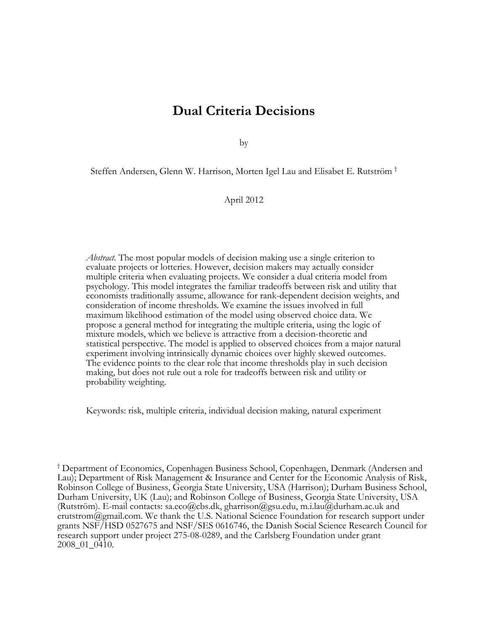# **Dual Criteria Decisions**

by

Steffen Andersen, Glenn W. Harrison, Morten Igel Lau and Elisabet E. Rutström †

April 2012

*Abstract.* The most popular models of decision making use a single criterion to evaluate projects or lotteries. However, decision makers may actually consider multiple criteria when evaluating projects. We consider a dual criteria model from psychology. This model integrates the familiar tradeoffs between risk and utility that economists traditionally assume, allowance for rank-dependent decision weights, and consideration of income thresholds. We examine the issues involved in full maximum likelihood estimation of the model using observed choice data. We propose a general method for integrating the multiple criteria, using the logic of mixture models, which we believe is attractive from a decision-theoretic and statistical perspective. The model is applied to observed choices from a major natural experiment involving intrinsically dynamic choices over highly skewed outcomes. The evidence points to the clear role that income thresholds play in such decision making, but does not rule out a role for tradeoffs between risk and utility or probability weighting.

Keywords: risk, multiple criteria, individual decision making, natural experiment

† Department of Economics, Copenhagen Business School, Copenhagen, Denmark (Andersen and Lau); Department of Risk Management & Insurance and Center for the Economic Analysis of Risk, Robinson College of Business, Georgia State University, USA (Harrison); Durham Business School, Durham University, UK (Lau); and Robinson College of Business, Georgia State University, USA (Rutström). E-mail contacts: sa.eco@cbs.dk, gharrison@gsu.edu, m.i.lau@durham.ac.uk and erutstrom@gmail.com. We thank the U.S. National Science Foundation for research support under grants NSF/HSD 0527675 and NSF/SES 0616746, the Danish Social Science Research Council for research support under project 275-08-0289, and the Carlsberg Foundation under grant 2008\_01\_0410.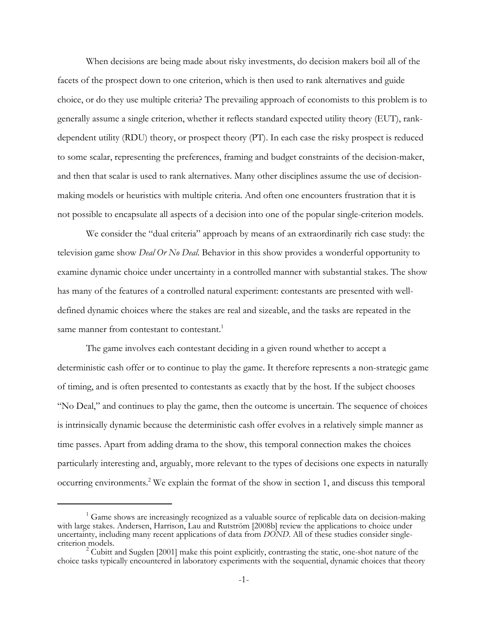When decisions are being made about risky investments, do decision makers boil all of the facets of the prospect down to one criterion, which is then used to rank alternatives and guide choice, or do they use multiple criteria? The prevailing approach of economists to this problem is to generally assume a single criterion, whether it reflects standard expected utility theory (EUT), rankdependent utility (RDU) theory, or prospect theory (PT). In each case the risky prospect is reduced to some scalar, representing the preferences, framing and budget constraints of the decision-maker, and then that scalar is used to rank alternatives. Many other disciplines assume the use of decisionmaking models or heuristics with multiple criteria. And often one encounters frustration that it is not possible to encapsulate all aspects of a decision into one of the popular single-criterion models.

We consider the "dual criteria" approach by means of an extraordinarily rich case study: the television game show *Deal Or No Deal*. Behavior in this show provides a wonderful opportunity to examine dynamic choice under uncertainty in a controlled manner with substantial stakes. The show has many of the features of a controlled natural experiment: contestants are presented with welldefined dynamic choices where the stakes are real and sizeable, and the tasks are repeated in the same manner from contestant to contestant.<sup>1</sup>

The game involves each contestant deciding in a given round whether to accept a deterministic cash offer or to continue to play the game. It therefore represents a non-strategic game of timing, and is often presented to contestants as exactly that by the host. If the subject chooses "No Deal," and continues to play the game, then the outcome is uncertain. The sequence of choices is intrinsically dynamic because the deterministic cash offer evolves in a relatively simple manner as time passes. Apart from adding drama to the show, this temporal connection makes the choices particularly interesting and, arguably, more relevant to the types of decisions one expects in naturally occurring environments.<sup>2</sup> We explain the format of the show in section 1, and discuss this temporal

 $1$  Game shows are increasingly recognized as a valuable source of replicable data on decision-making with large stakes. Andersen, Harrison, Lau and Rutström [2008b] review the applications to choice under uncertainty, including many recent applications of data from *DOND*. All of these studies consider singlecriterion models.

 $2^2$  Cubitt and Sugden [2001] make this point explicitly, contrasting the static, one-shot nature of the choice tasks typically encountered in laboratory experiments with the sequential, dynamic choices that theory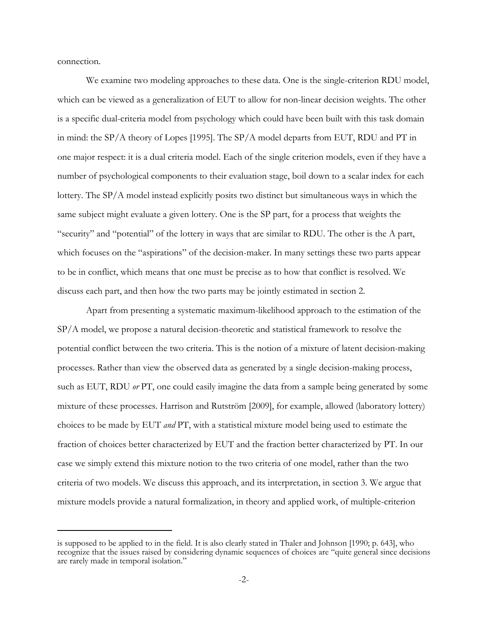connection.

We examine two modeling approaches to these data. One is the single-criterion RDU model, which can be viewed as a generalization of EUT to allow for non-linear decision weights. The other is a specific dual-criteria model from psychology which could have been built with this task domain in mind: the SP/A theory of Lopes [1995]. The SP/A model departs from EUT, RDU and PT in one major respect: it is a dual criteria model. Each of the single criterion models, even if they have a number of psychological components to their evaluation stage, boil down to a scalar index for each lottery. The SP/A model instead explicitly posits two distinct but simultaneous ways in which the same subject might evaluate a given lottery. One is the SP part, for a process that weights the "security" and "potential" of the lottery in ways that are similar to RDU. The other is the A part, which focuses on the "aspirations" of the decision-maker. In many settings these two parts appear to be in conflict, which means that one must be precise as to how that conflict is resolved. We discuss each part, and then how the two parts may be jointly estimated in section 2.

Apart from presenting a systematic maximum-likelihood approach to the estimation of the SP/A model, we propose a natural decision-theoretic and statistical framework to resolve the potential conflict between the two criteria. This is the notion of a mixture of latent decision-making processes. Rather than view the observed data as generated by a single decision-making process, such as EUT, RDU *or* PT, one could easily imagine the data from a sample being generated by some mixture of these processes. Harrison and Rutström [2009], for example, allowed (laboratory lottery) choices to be made by EUT *and* PT, with a statistical mixture model being used to estimate the fraction of choices better characterized by EUT and the fraction better characterized by PT. In our case we simply extend this mixture notion to the two criteria of one model, rather than the two criteria of two models. We discuss this approach, and its interpretation, in section 3. We argue that mixture models provide a natural formalization, in theory and applied work, of multiple-criterion

is supposed to be applied to in the field. It is also clearly stated in Thaler and Johnson [1990; p. 643], who recognize that the issues raised by considering dynamic sequences of choices are "quite general since decisions are rarely made in temporal isolation."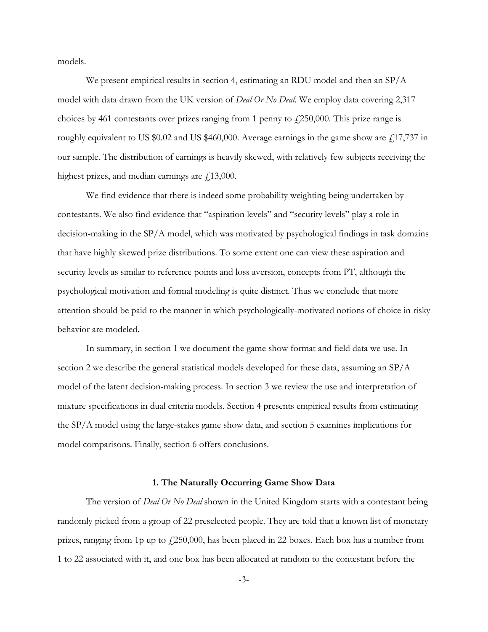models.

We present empirical results in section 4, estimating an RDU model and then an  $SP/A$ model with data drawn from the UK version of *Deal Or No Deal*. We employ data covering 2,317 choices by 461 contestants over prizes ranging from 1 penny to  $\ell$  250,000. This prize range is roughly equivalent to US  $$0.02$  and US  $$460,000$ . Average earnings in the game show are  $\frac{17}{737}$  in our sample. The distribution of earnings is heavily skewed, with relatively few subjects receiving the highest prizes, and median earnings are  $\sqrt{13,000}$ .

We find evidence that there is indeed some probability weighting being undertaken by contestants. We also find evidence that "aspiration levels" and "security levels" play a role in decision-making in the SP/A model, which was motivated by psychological findings in task domains that have highly skewed prize distributions. To some extent one can view these aspiration and security levels as similar to reference points and loss aversion, concepts from PT, although the psychological motivation and formal modeling is quite distinct. Thus we conclude that more attention should be paid to the manner in which psychologically-motivated notions of choice in risky behavior are modeled.

In summary, in section 1 we document the game show format and field data we use. In section 2 we describe the general statistical models developed for these data, assuming an  $SP/A$ model of the latent decision-making process. In section 3 we review the use and interpretation of mixture specifications in dual criteria models. Section 4 presents empirical results from estimating the SP/A model using the large-stakes game show data, and section 5 examines implications for model comparisons. Finally, section 6 offers conclusions.

#### **1. The Naturally Occurring Game Show Data**

The version of *Deal Or No Deal* shown in the United Kingdom starts with a contestant being randomly picked from a group of 22 preselected people. They are told that a known list of monetary prizes, ranging from 1p up to  $f(250,000)$ , has been placed in 22 boxes. Each box has a number from 1 to 22 associated with it, and one box has been allocated at random to the contestant before the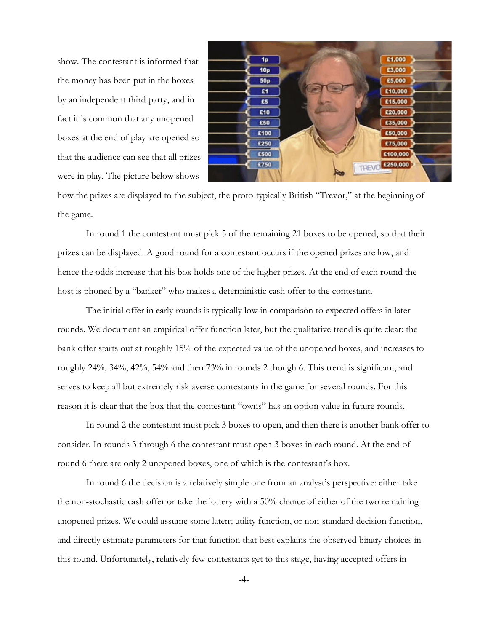show. The contestant is informed that the money has been put in the boxes by an independent third party, and in fact it is common that any unopened boxes at the end of play are opened so that the audience can see that all prizes were in play. The picture below shows



how the prizes are displayed to the subject, the proto-typically British "Trevor," at the beginning of the game.

In round 1 the contestant must pick 5 of the remaining 21 boxes to be opened, so that their prizes can be displayed. A good round for a contestant occurs if the opened prizes are low, and hence the odds increase that his box holds one of the higher prizes. At the end of each round the host is phoned by a "banker" who makes a deterministic cash offer to the contestant.

The initial offer in early rounds is typically low in comparison to expected offers in later rounds. We document an empirical offer function later, but the qualitative trend is quite clear: the bank offer starts out at roughly 15% of the expected value of the unopened boxes, and increases to roughly 24%, 34%, 42%, 54% and then 73% in rounds 2 though 6. This trend is significant, and serves to keep all but extremely risk averse contestants in the game for several rounds. For this reason it is clear that the box that the contestant "owns" has an option value in future rounds.

In round 2 the contestant must pick 3 boxes to open, and then there is another bank offer to consider. In rounds 3 through 6 the contestant must open 3 boxes in each round. At the end of round 6 there are only 2 unopened boxes, one of which is the contestant's box.

In round 6 the decision is a relatively simple one from an analyst's perspective: either take the non-stochastic cash offer or take the lottery with a 50% chance of either of the two remaining unopened prizes. We could assume some latent utility function, or non-standard decision function, and directly estimate parameters for that function that best explains the observed binary choices in this round. Unfortunately, relatively few contestants get to this stage, having accepted offers in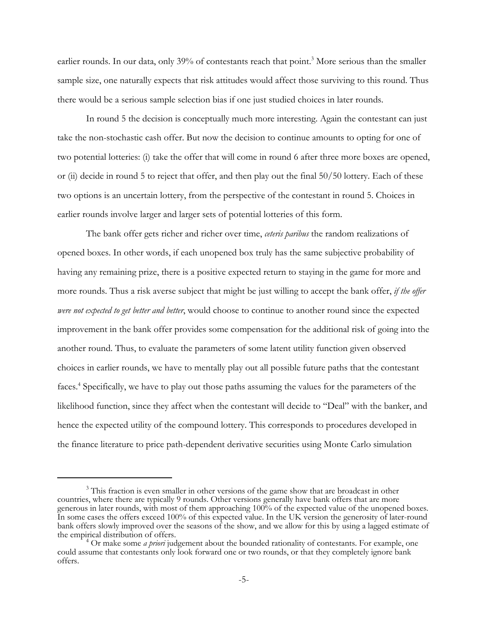earlier rounds. In our data, only 39% of contestants reach that point.<sup>3</sup> More serious than the smaller sample size, one naturally expects that risk attitudes would affect those surviving to this round. Thus there would be a serious sample selection bias if one just studied choices in later rounds.

In round 5 the decision is conceptually much more interesting. Again the contestant can just take the non-stochastic cash offer. But now the decision to continue amounts to opting for one of two potential lotteries: (i) take the offer that will come in round 6 after three more boxes are opened, or (ii) decide in round 5 to reject that offer, and then play out the final 50/50 lottery. Each of these two options is an uncertain lottery, from the perspective of the contestant in round 5. Choices in earlier rounds involve larger and larger sets of potential lotteries of this form.

The bank offer gets richer and richer over time, *ceteris paribus* the random realizations of opened boxes. In other words, if each unopened box truly has the same subjective probability of having any remaining prize, there is a positive expected return to staying in the game for more and more rounds. Thus a risk averse subject that might be just willing to accept the bank offer, *if the offer were not expected to get better and better*, would choose to continue to another round since the expected improvement in the bank offer provides some compensation for the additional risk of going into the another round. Thus, to evaluate the parameters of some latent utility function given observed choices in earlier rounds, we have to mentally play out all possible future paths that the contestant faces.<sup>4</sup> Specifically, we have to play out those paths assuming the values for the parameters of the likelihood function, since they affect when the contestant will decide to "Deal" with the banker, and hence the expected utility of the compound lottery. This corresponds to procedures developed in the finance literature to price path-dependent derivative securities using Monte Carlo simulation

<sup>&</sup>lt;sup>3</sup> This fraction is even smaller in other versions of the game show that are broadcast in other countries, where there are typically 9 rounds. Other versions generally have bank offers that are more generous in later rounds, with most of them approaching 100% of the expected value of the unopened boxes. In some cases the offers exceed 100% of this expected value. In the UK version the generosity of later-round bank offers slowly improved over the seasons of the show, and we allow for this by using a lagged estimate of the empirical distribution of offers. <sup>4</sup>

Or make some *a priori* judgement about the bounded rationality of contestants. For example, one could assume that contestants only look forward one or two rounds, or that they completely ignore bank offers.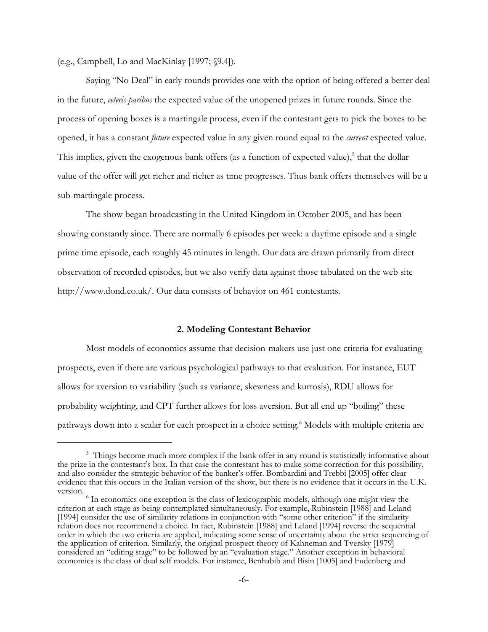(e.g., Campbell, Lo and MacKinlay [1997; §9.4]).

Saying "No Deal" in early rounds provides one with the option of being offered a better deal in the future, *ceteris paribus* the expected value of the unopened prizes in future rounds. Since the process of opening boxes is a martingale process, even if the contestant gets to pick the boxes to be opened, it has a constant *future* expected value in any given round equal to the *current* expected value. This implies, given the exogenous bank offers (as a function of expected value),<sup>5</sup> that the dollar value of the offer will get richer and richer as time progresses. Thus bank offers themselves will be a sub-martingale process.

The show began broadcasting in the United Kingdom in October 2005, and has been showing constantly since. There are normally 6 episodes per week: a daytime episode and a single prime time episode, each roughly 45 minutes in length. Our data are drawn primarily from direct observation of recorded episodes, but we also verify data against those tabulated on the web site http://www.dond.co.uk/. Our data consists of behavior on 461 contestants.

### **2. Modeling Contestant Behavior**

Most models of economics assume that decision-makers use just one criteria for evaluating prospects, even if there are various psychological pathways to that evaluation. For instance, EUT allows for aversion to variability (such as variance, skewness and kurtosis), RDU allows for probability weighting, and CPT further allows for loss aversion. But all end up "boiling" these pathways down into a scalar for each prospect in a choice setting.<sup>6</sup> Models with multiple criteria are

<sup>&</sup>lt;sup>5</sup> Things become much more complex if the bank offer in any round is statistically informative about the prize in the contestant's box. In that case the contestant has to make some correction for this possibility, and also consider the strategic behavior of the banker's offer. Bombardini and Trebbi [2005] offer clear evidence that this occurs in the Italian version of the show, but there is no evidence that it occurs in the U.K. version.

<sup>&</sup>lt;sup>6</sup> In economics one exception is the class of lexicographic models, although one might view the criterion at each stage as being contemplated simultaneously. For example, Rubinstein [1988] and Leland [1994] consider the use of similarity relations in conjunction with "some other criterion" if the similarity relation does not recommend a choice. In fact, Rubinstein [1988] and Leland [1994] reverse the sequential order in which the two criteria are applied, indicating some sense of uncertainty about the strict sequencing of the application of criterion. Similarly, the original prospect theory of Kahneman and Tversky [1979] considered an "editing stage" to be followed by an "evaluation stage." Another exception in behavioral economics is the class of dual self models. For instance, Benhabib and Bisin [1005] and Fudenberg and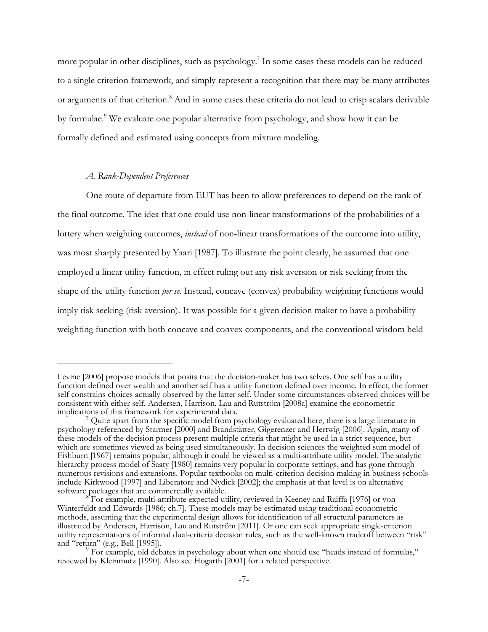more popular in other disciplines, such as psychology.<sup>7</sup> In some cases these models can be reduced to a single criterion framework, and simply represent a recognition that there may be many attributes or arguments of that criterion.<sup>8</sup> And in some cases these criteria do not lead to crisp scalars derivable by formulae.<sup>9</sup> We evaluate one popular alternative from psychology, and show how it can be formally defined and estimated using concepts from mixture modeling.

## *A. Rank-Dependent Preferences*

One route of departure from EUT has been to allow preferences to depend on the rank of the final outcome. The idea that one could use non-linear transformations of the probabilities of a lottery when weighting outcomes, *instead* of non-linear transformations of the outcome into utility, was most sharply presented by Yaari [1987]. To illustrate the point clearly, he assumed that one employed a linear utility function, in effect ruling out any risk aversion or risk seeking from the shape of the utility function *per se*. Instead, concave (convex) probability weighting functions would imply risk seeking (risk aversion). It was possible for a given decision maker to have a probability weighting function with both concave and convex components, and the conventional wisdom held

Levine [2006] propose models that posits that the decision-maker has two selves. One self has a utility function defined over wealth and another self has a utility function defined over income. In effect, the former self constrains choices actually observed by the latter self. Under some circumstances observed choices will be consistent with either self. Andersen, Harrison, Lau and Rutström [2008a] examine the econometric implications of this framework for experimental data.

Quite apart from the specific model from psychology evaluated here, there is a large literature in psychology referenced by Starmer [2000] and Brandstätter, Gigerenzer and Hertwig [2006]. Again, many of these models of the decision process present multiple criteria that might be used in a strict sequence, but which are sometimes viewed as being used simultaneously. In decision sciences the weighted sum model of Fishburn [1967] remains popular, although it could be viewed as a multi-attribute utility model. The analytic hierarchy process model of Saaty [1980] remains very popular in corporate settings, and has gone through numerous revisions and extensions. Popular textbooks on multi-criterion decision making in business schools include Kirkwood [1997] and Liberatore and Nydick [2002]; the emphasis at that level is on alternative software packages that are commercially available.

For example, multi-attribute expected utility, reviewed in Keeney and Raiffa [1976] or von Winterfeldt and Edwards [1986; ch.7]. These models may be estimated using traditional econometric methods, assuming that the experimental design allows for identification of all structural parameters as illustrated by Andersen, Harrison, Lau and Rutström [2011]. Or one can seek appropriate single-criterion utility representations of informal dual-criteria decision rules, such as the well-known tradeoff between "risk" and "return" (e.g., Bell [1995]).

<sup>&</sup>lt;sup>9</sup> For example, old debates in psychology about when one should use "heads instead of formulas," reviewed by Kleinmutz [1990]. Also see Hogarth [2001] for a related perspective.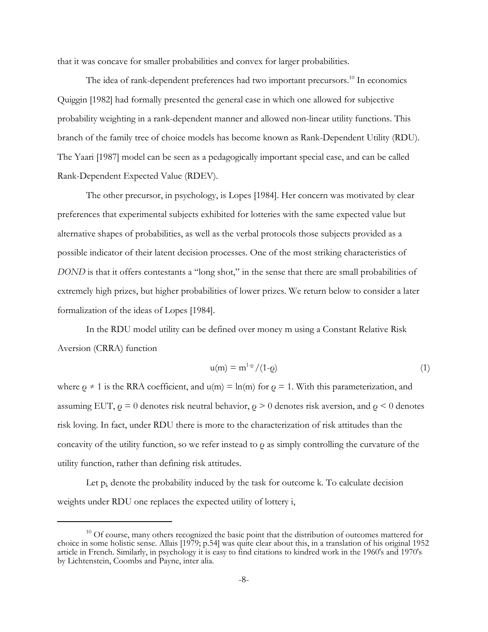that it was concave for smaller probabilities and convex for larger probabilities.

The idea of rank-dependent preferences had two important precursors.<sup>10</sup> In economics Quiggin [1982] had formally presented the general case in which one allowed for subjective probability weighting in a rank-dependent manner and allowed non-linear utility functions. This branch of the family tree of choice models has become known as Rank-Dependent Utility (RDU). The Yaari [1987] model can be seen as a pedagogically important special case, and can be called Rank-Dependent Expected Value (RDEV).

The other precursor, in psychology, is Lopes [1984]. Her concern was motivated by clear preferences that experimental subjects exhibited for lotteries with the same expected value but alternative shapes of probabilities, as well as the verbal protocols those subjects provided as a possible indicator of their latent decision processes. One of the most striking characteristics of *DOND* is that it offers contestants a "long shot," in the sense that there are small probabilities of extremely high prizes, but higher probabilities of lower prizes. We return below to consider a later formalization of the ideas of Lopes [1984].

In the RDU model utility can be defined over money m using a Constant Relative Risk Aversion (CRRA) function

$$
u(m) = m^{1\cdot Q} / (1\cdot Q) \tag{1}
$$

where  $\rho \neq 1$  is the RRA coefficient, and  $u(m) = \ln(m)$  for  $\rho = 1$ . With this parameterization, and assuming EUT,  $\rho = 0$  denotes risk neutral behavior,  $\rho > 0$  denotes risk aversion, and  $\rho \le 0$  denotes risk loving. In fact, under RDU there is more to the characterization of risk attitudes than the concavity of the utility function, so we refer instead to  $\rho$  as simply controlling the curvature of the utility function, rather than defining risk attitudes.

Let  $p_k$  denote the probability induced by the task for outcome k. To calculate decision weights under RDU one replaces the expected utility of lottery i,

 $10$  Of course, many others recognized the basic point that the distribution of outcomes mattered for choice in some holistic sense. Allais [1979; p.54] was quite clear about this, in a translation of his original 1952 article in French. Similarly, in psychology it is easy to find citations to kindred work in the 1960's and 1970's by Lichtenstein, Coombs and Payne, inter alia.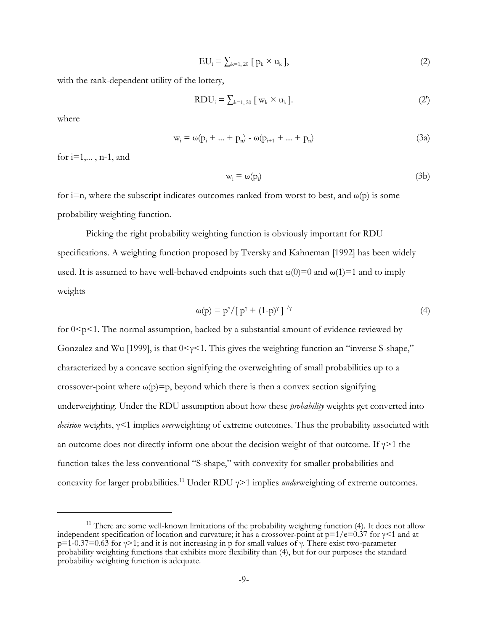$$
EU_i = \sum_{k=1,20} \left[ p_k \times u_k \right],\tag{2}
$$

with the rank-dependent utility of the lottery,

$$
RDU_i = \sum_{k=1,20} [w_k \times u_k]. \tag{2'}
$$

where

$$
w_i = \omega(p_i + ... + p_n) - \omega(p_{i+1} + ... + p_n)
$$
 (3a)

for  $i=1,\ldots, n-1$ , and

$$
w_i = \omega(p_i) \tag{3b}
$$

for i=n, where the subscript indicates outcomes ranked from worst to best, and  $\omega(p)$  is some probability weighting function.

Picking the right probability weighting function is obviously important for RDU specifications. A weighting function proposed by Tversky and Kahneman [1992] has been widely used. It is assumed to have well-behaved endpoints such that  $\omega(0)=0$  and  $\omega(1)=1$  and to imply weights

$$
\omega(p) = p^{\gamma} / [p^{\gamma} + (1-p)^{\gamma}]^{1/\gamma}
$$
 (4)

for  $0 \le p \le 1$ . The normal assumption, backed by a substantial amount of evidence reviewed by Gonzalez and Wu [1999], is that  $0 \le \gamma \le 1$ . This gives the weighting function an "inverse S-shape," characterized by a concave section signifying the overweighting of small probabilities up to a crossover-point where  $\omega(p)=p$ , beyond which there is then a convex section signifying underweighting. Under the RDU assumption about how these *probability* weights get converted into *decision* weights, γ<1 implies *over*weighting of extreme outcomes. Thus the probability associated with an outcome does not directly inform one about the decision weight of that outcome. If  $\gamma$  > 1 the function takes the less conventional "S-shape," with convexity for smaller probabilities and concavity for larger probabilities.11 Under RDU γ>1 implies *under*weighting of extreme outcomes.

 $11$ <sup>11</sup> There are some well-known limitations of the probability weighting function (4). It does not allow independent specification of location and curvature; it has a crossover-point at  $p=1/e=0.37$  for  $\gamma$ <1 and at p=1-0.37=0.63 for γ>1; and it is not increasing in p for small values of γ. There exist two-parameter probability weighting functions that exhibits more flexibility than (4), but for our purposes the standard probability weighting function is adequate.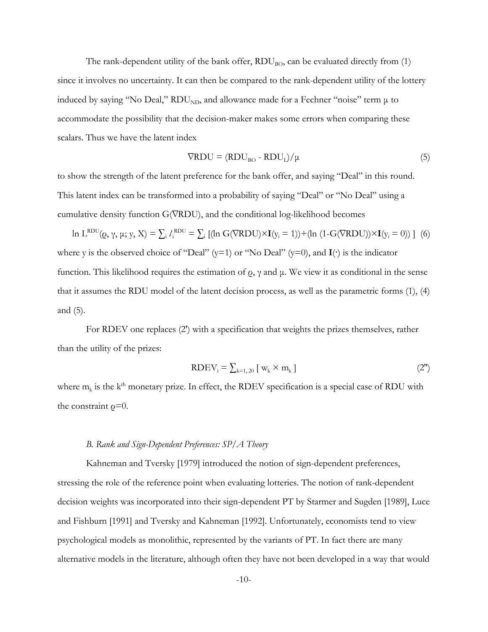The rank-dependent utility of the bank offer,  $RDU_{BO}$ , can be evaluated directly from (1) since it involves no uncertainty. It can then be compared to the rank-dependent utility of the lottery induced by saying "No Deal,"  $RDU<sub>ND</sub>$ , and allowance made for a Fechner "noise" term  $\mu$  to accommodate the possibility that the decision-maker makes some errors when comparing these scalars. Thus we have the latent index

$$
\nabla \mathbf{R} \mathbf{D} \mathbf{U} = (\mathbf{R} \mathbf{D} \mathbf{U}_{\text{BO}} - \mathbf{R} \mathbf{D} \mathbf{U}_{\text{I}}) / \mu \tag{5}
$$

to show the strength of the latent preference for the bank offer, and saying "Deal" in this round. This latent index can be transformed into a probability of saying "Deal" or "No Deal" using a cumulative density function  $G(VRDU)$ , and the conditional log-likelihood becomes

ln L<sup>RDU</sup>( $\varrho$ ,  $\gamma$ ,  $\mu$ ;  $y$ ,  $X$ ) =  $\sum_i l_i^{RDU} = \sum_i [(\ln G(\nabla RDU) \times I(y_i = 1)) + (\ln (1-G(\nabla RDU)) \times I(y_i = 0))]$  (6) where y is the observed choice of "Deal"  $(y=1)$  or "No Deal"  $(y=0)$ , and  $I(\cdot)$  is the indicator function. This likelihood requires the estimation of ρ, γ and μ. We view it as conditional in the sense that it assumes the RDU model of the latent decision process, as well as the parametric forms (1), (4) and (5).

For RDEV one replaces (2') with a specification that weights the prizes themselves, rather than the utility of the prizes:

$$
RDEV_i = \sum_{k=1,20} [w_k \times m_k]
$$
 (2")

where  $m_k$  is the  $k<sup>th</sup>$  monetary prize. In effect, the RDEV specification is a special case of RDU with the constraint  $\rho=0$ .

#### *B. Rank and Sign-Dependent Preferences: SP/A Theory*

Kahneman and Tversky [1979] introduced the notion of sign-dependent preferences, stressing the role of the reference point when evaluating lotteries. The notion of rank-dependent decision weights was incorporated into their sign-dependent PT by Starmer and Sugden [1989], Luce and Fishburn [1991] and Tversky and Kahneman [1992]. Unfortunately, economists tend to view psychological models as monolithic, represented by the variants of PT. In fact there are many alternative models in the literature, although often they have not been developed in a way that would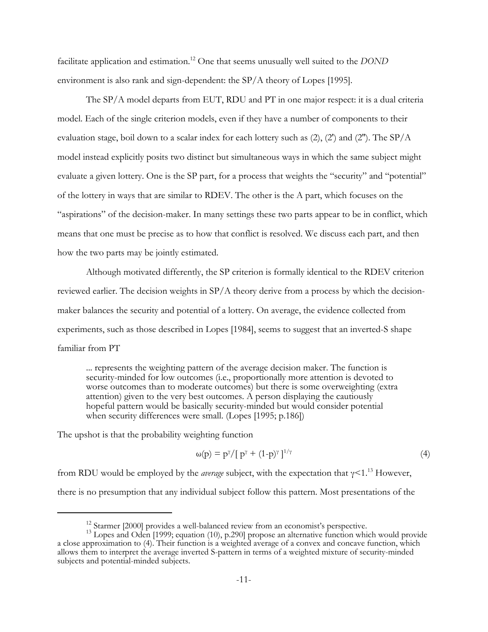facilitate application and estimation.12 One that seems unusually well suited to the *DOND* environment is also rank and sign-dependent: the SP/A theory of Lopes [1995].

The SP/A model departs from EUT, RDU and PT in one major respect: it is a dual criteria model. Each of the single criterion models, even if they have a number of components to their evaluation stage, boil down to a scalar index for each lottery such as (2), (2') and (2''). The SP/A model instead explicitly posits two distinct but simultaneous ways in which the same subject might evaluate a given lottery. One is the SP part, for a process that weights the "security" and "potential" of the lottery in ways that are similar to RDEV. The other is the A part, which focuses on the "aspirations" of the decision-maker. In many settings these two parts appear to be in conflict, which means that one must be precise as to how that conflict is resolved. We discuss each part, and then how the two parts may be jointly estimated.

Although motivated differently, the SP criterion is formally identical to the RDEV criterion reviewed earlier. The decision weights in  $SP/A$  theory derive from a process by which the decisionmaker balances the security and potential of a lottery. On average, the evidence collected from experiments, such as those described in Lopes [1984], seems to suggest that an inverted-S shape familiar from PT

... represents the weighting pattern of the average decision maker. The function is security-minded for low outcomes (i.e., proportionally more attention is devoted to worse outcomes than to moderate outcomes) but there is some overweighting (extra attention) given to the very best outcomes. A person displaying the cautiously hopeful pattern would be basically security-minded but would consider potential when security differences were small. (Lopes [1995; p.186])

The upshot is that the probability weighting function

$$
\omega(p) = p^{\gamma} / [p^{\gamma} + (1-p)^{\gamma}]^{1/\gamma}
$$
\n(4)

from RDU would be employed by the *average* subject, with the expectation that γ<1.13 However, there is no presumption that any individual subject follow this pattern. Most presentations of the

<sup>&</sup>lt;sup>12</sup> Starmer [2000] provides a well-balanced review from an economist's perspective.<br><sup>13</sup> Lopes and Oden [1999; equation (10), p.290] propose an alternative function which would provide a close approximation to (4). Their function is a weighted average of a convex and concave function, which allows them to interpret the average inverted S-pattern in terms of a weighted mixture of security-minded subjects and potential-minded subjects.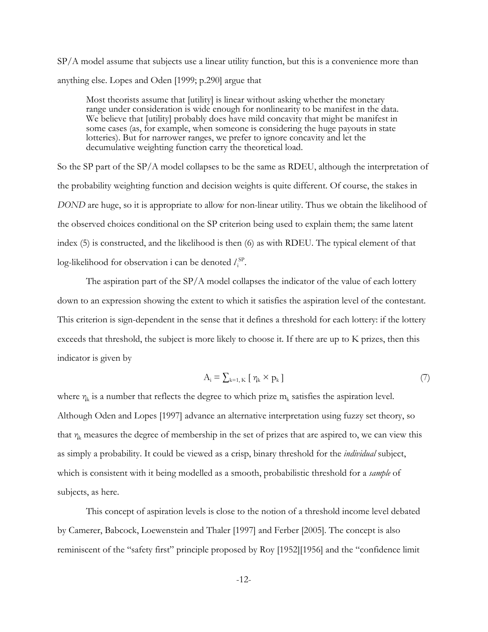SP/A model assume that subjects use a linear utility function, but this is a convenience more than anything else. Lopes and Oden [1999; p.290] argue that

Most theorists assume that [utility] is linear without asking whether the monetary range under consideration is wide enough for nonlinearity to be manifest in the data. We believe that [utility] probably does have mild concavity that might be manifest in some cases (as, for example, when someone is considering the huge payouts in state lotteries). But for narrower ranges, we prefer to ignore concavity and let the decumulative weighting function carry the theoretical load.

So the SP part of the SP/A model collapses to be the same as RDEU, although the interpretation of the probability weighting function and decision weights is quite different. Of course, the stakes in *DOND* are huge, so it is appropriate to allow for non-linear utility. Thus we obtain the likelihood of the observed choices conditional on the SP criterion being used to explain them; the same latent index (5) is constructed, and the likelihood is then (6) as with RDEU. The typical element of that log-likelihood for observation i can be denoted  $l_i^{\text{SP}}$ .

The aspiration part of the  $SP/A$  model collapses the indicator of the value of each lottery down to an expression showing the extent to which it satisfies the aspiration level of the contestant. This criterion is sign-dependent in the sense that it defines a threshold for each lottery: if the lottery exceeds that threshold, the subject is more likely to choose it. If there are up to K prizes, then this indicator is given by

$$
A_i = \sum_{k=1, K} [\eta_k \times p_k] \tag{7}
$$

where  $\eta_k$  is a number that reflects the degree to which prize  $m_k$  satisfies the aspiration level. Although Oden and Lopes [1997] advance an alternative interpretation using fuzzy set theory, so that  $\eta_k$  measures the degree of membership in the set of prizes that are aspired to, we can view this as simply a probability. It could be viewed as a crisp, binary threshold for the *individual* subject, which is consistent with it being modelled as a smooth, probabilistic threshold for a *sample* of subjects, as here.

This concept of aspiration levels is close to the notion of a threshold income level debated by Camerer, Babcock, Loewenstein and Thaler [1997] and Ferber [2005]. The concept is also reminiscent of the "safety first" principle proposed by Roy [1952][1956] and the "confidence limit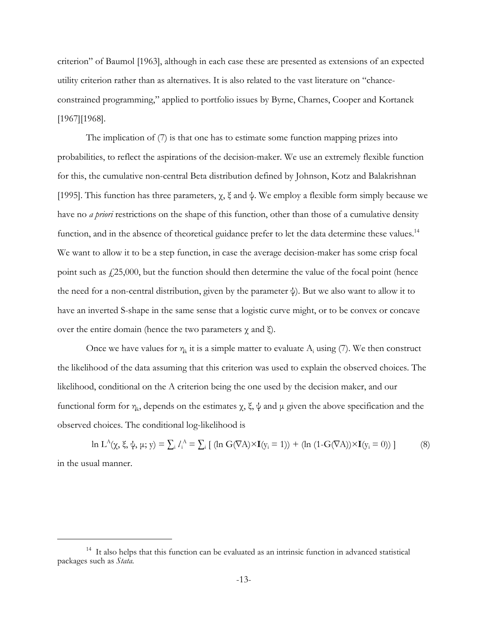criterion" of Baumol [1963], although in each case these are presented as extensions of an expected utility criterion rather than as alternatives. It is also related to the vast literature on "chanceconstrained programming," applied to portfolio issues by Byrne, Charnes, Cooper and Kortanek [1967][1968].

The implication of (7) is that one has to estimate some function mapping prizes into probabilities, to reflect the aspirations of the decision-maker. We use an extremely flexible function for this, the cumulative non-central Beta distribution defined by Johnson, Kotz and Balakrishnan [1995]. This function has three parameters, χ, ξ and ψ. We employ a flexible form simply because we have no *a priori* restrictions on the shape of this function, other than those of a cumulative density function, and in the absence of theoretical guidance prefer to let the data determine these values.<sup>14</sup> We want to allow it to be a step function, in case the average decision-maker has some crisp focal point such as  $\frac{1}{2}$ 5,000, but the function should then determine the value of the focal point (hence the need for a non-central distribution, given by the parameter  $\psi$ ). But we also want to allow it to have an inverted S-shape in the same sense that a logistic curve might, or to be convex or concave over the entire domain (hence the two parameters χ and ξ).

Once we have values for  $\eta_k$  it is a simple matter to evaluate  $A_i$  using (7). We then construct the likelihood of the data assuming that this criterion was used to explain the observed choices. The likelihood, conditional on the A criterion being the one used by the decision maker, and our functional form for  $η_k$ , depends on the estimates  $χ$ , ξ, ψ and μ given the above specification and the observed choices. The conditional log-likelihood is

ln L<sup>A</sup>(χ, ξ, ψ, μ; y) =  $\sum_i l_i^A = \sum_i [(\ln G(\nabla A) \times I(y_i = 1)) + (\ln (1 - G(\nabla A)) \times I(y_i = 0))]$  (8) in the usual manner.

 $14$  It also helps that this function can be evaluated as an intrinsic function in advanced statistical packages such as *Stata*.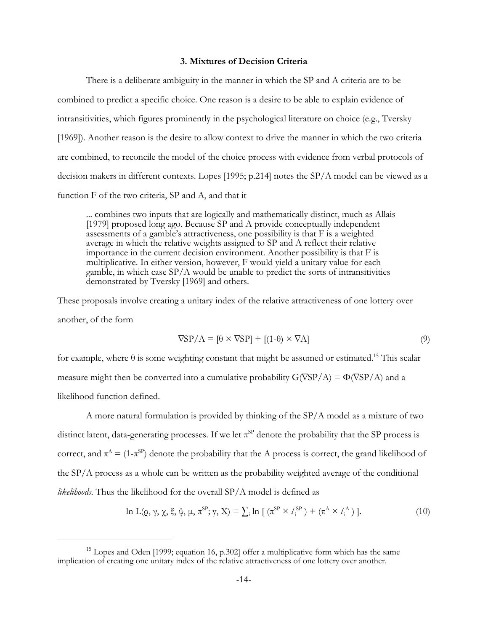#### **3. Mixtures of Decision Criteria**

There is a deliberate ambiguity in the manner in which the SP and A criteria are to be combined to predict a specific choice. One reason is a desire to be able to explain evidence of intransitivities, which figures prominently in the psychological literature on choice (e.g., Tversky [1969]). Another reason is the desire to allow context to drive the manner in which the two criteria are combined, to reconcile the model of the choice process with evidence from verbal protocols of decision makers in different contexts. Lopes [1995; p.214] notes the SP/A model can be viewed as a function F of the two criteria, SP and A, and that it

... combines two inputs that are logically and mathematically distinct, much as Allais [1979] proposed long ago. Because SP and A provide conceptually independent assessments of a gamble's attractiveness, one possibility is that F is a weighted average in which the relative weights assigned to SP and A reflect their relative importance in the current decision environment. Another possibility is that F is multiplicative. In either version, however, F would yield a unitary value for each gamble, in which case SP/A would be unable to predict the sorts of intransitivities demonstrated by Tversky [1969] and others.

These proposals involve creating a unitary index of the relative attractiveness of one lottery over another, of the form

$$
\nabla \text{SP}/\text{A} = [\theta \times \nabla \text{SP}] + [(1-\theta) \times \nabla \text{A}] \tag{9}
$$

for example, where  $\theta$  is some weighting constant that might be assumed or estimated.<sup>15</sup> This scalar measure might then be converted into a cumulative probability  $G(\nabla SP/A) = \Phi(\nabla SP/A)$  and a likelihood function defined.

A more natural formulation is provided by thinking of the SP/A model as a mixture of two distinct latent, data-generating processes. If we let  $\pi^{SP}$  denote the probability that the SP process is correct, and  $\pi^A = (1 - \pi^{SP})$  denote the probability that the A process is correct, the grand likelihood of the SP/A process as a whole can be written as the probability weighted average of the conditional *likelihoods*. Thus the likelihood for the overall SP/A model is defined as

$$
\ln L(\varrho, \gamma, \chi, \xi, \psi, \mu, \pi^{\rm SP}; \mathbf{y}, \mathbf{X}) = \sum_{i} \ln \left[ \left( \pi^{\rm SP} \times l_i^{\rm SP} \right) + \left( \pi^{\rm A} \times l_i^{\rm A} \right) \right]. \tag{10}
$$

 $15$  Lopes and Oden [1999; equation 16, p.302] offer a multiplicative form which has the same implication of creating one unitary index of the relative attractiveness of one lottery over another.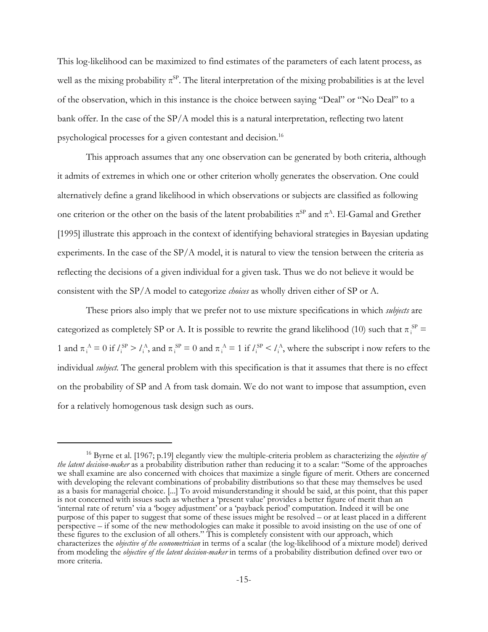This log-likelihood can be maximized to find estimates of the parameters of each latent process, as well as the mixing probability  $\pi^{SP}$ . The literal interpretation of the mixing probabilities is at the level of the observation, which in this instance is the choice between saying "Deal" or "No Deal" to a bank offer. In the case of the SP/A model this is a natural interpretation, reflecting two latent psychological processes for a given contestant and decision.16

This approach assumes that any one observation can be generated by both criteria, although it admits of extremes in which one or other criterion wholly generates the observation. One could alternatively define a grand likelihood in which observations or subjects are classified as following one criterion or the other on the basis of the latent probabilities  $\pi^{\text{SP}}$  and  $\pi^{\text{A}}$ . El-Gamal and Grether [1995] illustrate this approach in the context of identifying behavioral strategies in Bayesian updating experiments. In the case of the  $SP/A$  model, it is natural to view the tension between the criteria as reflecting the decisions of a given individual for a given task. Thus we do not believe it would be consistent with the SP/A model to categorize *choices* as wholly driven either of SP or A.

These priors also imply that we prefer not to use mixture specifications in which *subjects* are categorized as completely SP or A. It is possible to rewrite the grand likelihood (10) such that  $\pi_i^{SP}$  = 1 and  $\pi_i^A = 0$  if  $l_i^{SP} > l_i^A$ , and  $\pi_i^{SP} = 0$  and  $\pi_i^A = 1$  if  $l_i^{SP} < l_i^A$ , where the subscript i now refers to the individual *subject*. The general problem with this specification is that it assumes that there is no effect on the probability of SP and A from task domain. We do not want to impose that assumption, even for a relatively homogenous task design such as ours.

<sup>16</sup> Byrne et al. [1967; p.19] elegantly view the multiple-criteria problem as characterizing the *objective of the latent decision-maker* as a probability distribution rather than reducing it to a scalar: "Some of the approaches we shall examine are also concerned with choices that maximize a single figure of merit. Others are concerned with developing the relevant combinations of probability distributions so that these may themselves be used as a basis for managerial choice. [...] To avoid misunderstanding it should be said, at this point, that this paper is not concerned with issues such as whether a 'present value' provides a better figure of merit than an 'internal rate of return' via a 'bogey adjustment' or a 'payback period' computation. Indeed it will be one purpose of this paper to suggest that some of these issues might be resolved – or at least placed in a different perspective – if some of the new methodologies can make it possible to avoid insisting on the use of one of these figures to the exclusion of all others." This is completely consistent with our approach, which characterizes the *objective of the econometrician* in terms of a scalar (the log-likelihood of a mixture model) derived from modeling the *objective of the latent decision-maker* in terms of a probability distribution defined over two or more criteria.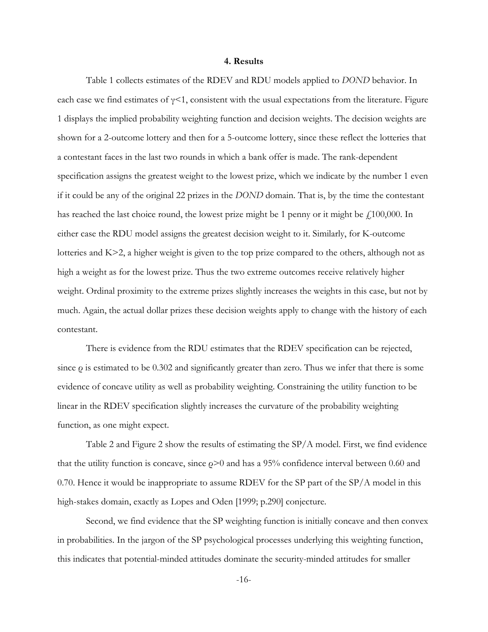#### **4. Results**

Table 1 collects estimates of the RDEV and RDU models applied to *DOND* behavior. In each case we find estimates of  $\gamma$ <1, consistent with the usual expectations from the literature. Figure 1 displays the implied probability weighting function and decision weights. The decision weights are shown for a 2-outcome lottery and then for a 5-outcome lottery, since these reflect the lotteries that a contestant faces in the last two rounds in which a bank offer is made. The rank-dependent specification assigns the greatest weight to the lowest prize, which we indicate by the number 1 even if it could be any of the original 22 prizes in the *DOND* domain. That is, by the time the contestant has reached the last choice round, the lowest prize might be 1 penny or it might be  $\ell$ 100,000. In either case the RDU model assigns the greatest decision weight to it. Similarly, for K-outcome lotteries and K>2, a higher weight is given to the top prize compared to the others, although not as high a weight as for the lowest prize. Thus the two extreme outcomes receive relatively higher weight. Ordinal proximity to the extreme prizes slightly increases the weights in this case, but not by much. Again, the actual dollar prizes these decision weights apply to change with the history of each contestant.

There is evidence from the RDU estimates that the RDEV specification can be rejected, since ρ is estimated to be 0.302 and significantly greater than zero. Thus we infer that there is some evidence of concave utility as well as probability weighting. Constraining the utility function to be linear in the RDEV specification slightly increases the curvature of the probability weighting function, as one might expect.

Table 2 and Figure 2 show the results of estimating the SP/A model. First, we find evidence that the utility function is concave, since  $\rho$ >0 and has a 95% confidence interval between 0.60 and 0.70. Hence it would be inappropriate to assume RDEV for the SP part of the SP/A model in this high-stakes domain, exactly as Lopes and Oden [1999; p.290] conjecture.

Second, we find evidence that the SP weighting function is initially concave and then convex in probabilities. In the jargon of the SP psychological processes underlying this weighting function, this indicates that potential-minded attitudes dominate the security-minded attitudes for smaller

-16-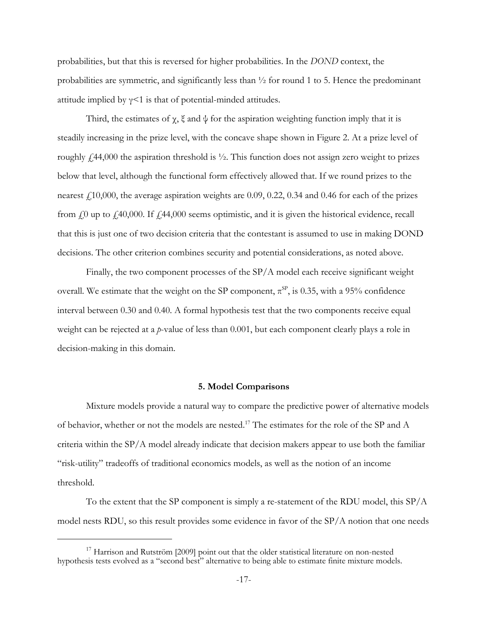probabilities, but that this is reversed for higher probabilities. In the *DOND* context, the probabilities are symmetric, and significantly less than  $\frac{1}{2}$  for round 1 to 5. Hence the predominant attitude implied by  $\gamma$ <1 is that of potential-minded attitudes.

Third, the estimates of  $\gamma$ ,  $\xi$  and  $\psi$  for the aspiration weighting function imply that it is steadily increasing in the prize level, with the concave shape shown in Figure 2. At a prize level of roughly  $\ell$ 44,000 the aspiration threshold is  $\frac{1}{2}$ . This function does not assign zero weight to prizes below that level, although the functional form effectively allowed that. If we round prizes to the nearest  $\ell$ 10,000, the average aspiration weights are 0.09, 0.22, 0.34 and 0.46 for each of the prizes from  $\dot{\gamma}$  up to  $\dot{\gamma}$  40,000. If  $\dot{\gamma}$  44,000 seems optimistic, and it is given the historical evidence, recall that this is just one of two decision criteria that the contestant is assumed to use in making DOND decisions. The other criterion combines security and potential considerations, as noted above.

Finally, the two component processes of the SP/A model each receive significant weight overall. We estimate that the weight on the SP component,  $\pi^{SP}$ , is 0.35, with a 95% confidence interval between 0.30 and 0.40. A formal hypothesis test that the two components receive equal weight can be rejected at a *p*-value of less than 0.001, but each component clearly plays a role in decision-making in this domain.

#### **5. Model Comparisons**

Mixture models provide a natural way to compare the predictive power of alternative models of behavior, whether or not the models are nested.17 The estimates for the role of the SP and A criteria within the SP/A model already indicate that decision makers appear to use both the familiar "risk-utility" tradeoffs of traditional economics models, as well as the notion of an income threshold.

To the extent that the SP component is simply a re-statement of the RDU model, this SP/A model nests RDU, so this result provides some evidence in favor of the SP/A notion that one needs

<sup>&</sup>lt;sup>17</sup> Harrison and Rutström [2009] point out that the older statistical literature on non-nested hypothesis tests evolved as a "second best" alternative to being able to estimate finite mixture models.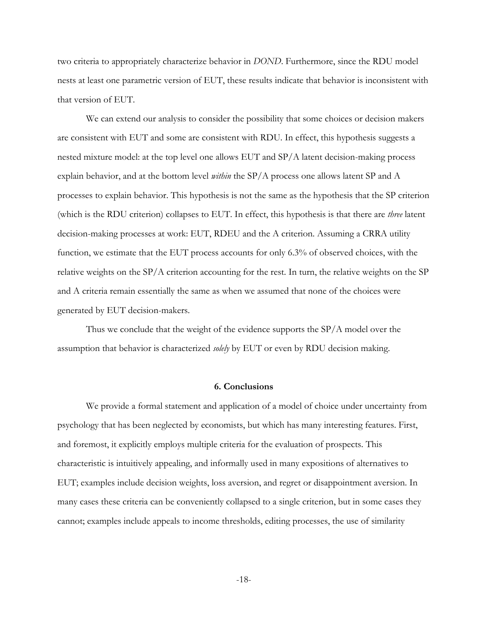two criteria to appropriately characterize behavior in *DOND*. Furthermore, since the RDU model nests at least one parametric version of EUT, these results indicate that behavior is inconsistent with that version of EUT.

We can extend our analysis to consider the possibility that some choices or decision makers are consistent with EUT and some are consistent with RDU. In effect, this hypothesis suggests a nested mixture model: at the top level one allows EUT and SP/A latent decision-making process explain behavior, and at the bottom level *within* the SP/A process one allows latent SP and A processes to explain behavior. This hypothesis is not the same as the hypothesis that the SP criterion (which is the RDU criterion) collapses to EUT. In effect, this hypothesis is that there are *three* latent decision-making processes at work: EUT, RDEU and the A criterion. Assuming a CRRA utility function, we estimate that the EUT process accounts for only 6.3% of observed choices, with the relative weights on the SP/A criterion accounting for the rest. In turn, the relative weights on the SP and A criteria remain essentially the same as when we assumed that none of the choices were generated by EUT decision-makers.

Thus we conclude that the weight of the evidence supports the SP/A model over the assumption that behavior is characterized *solely* by EUT or even by RDU decision making.

#### **6. Conclusions**

We provide a formal statement and application of a model of choice under uncertainty from psychology that has been neglected by economists, but which has many interesting features. First, and foremost, it explicitly employs multiple criteria for the evaluation of prospects. This characteristic is intuitively appealing, and informally used in many expositions of alternatives to EUT; examples include decision weights, loss aversion, and regret or disappointment aversion. In many cases these criteria can be conveniently collapsed to a single criterion, but in some cases they cannot; examples include appeals to income thresholds, editing processes, the use of similarity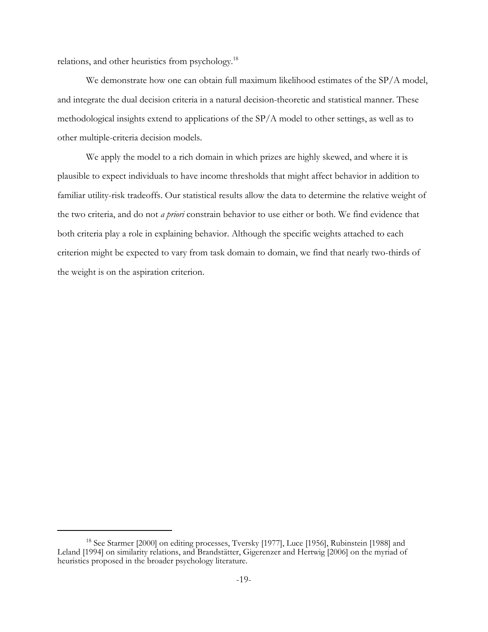relations, and other heuristics from psychology.18

We demonstrate how one can obtain full maximum likelihood estimates of the SP/A model, and integrate the dual decision criteria in a natural decision-theoretic and statistical manner. These methodological insights extend to applications of the SP/A model to other settings, as well as to other multiple-criteria decision models.

We apply the model to a rich domain in which prizes are highly skewed, and where it is plausible to expect individuals to have income thresholds that might affect behavior in addition to familiar utility-risk tradeoffs. Our statistical results allow the data to determine the relative weight of the two criteria, and do not *a priori* constrain behavior to use either or both. We find evidence that both criteria play a role in explaining behavior. Although the specific weights attached to each criterion might be expected to vary from task domain to domain, we find that nearly two-thirds of the weight is on the aspiration criterion.

<sup>&</sup>lt;sup>18</sup> See Starmer [2000] on editing processes, Tversky [1977], Luce [1956], Rubinstein [1988] and Leland [1994] on similarity relations, and Brandstätter, Gigerenzer and Hertwig [2006] on the myriad of heuristics proposed in the broader psychology literature.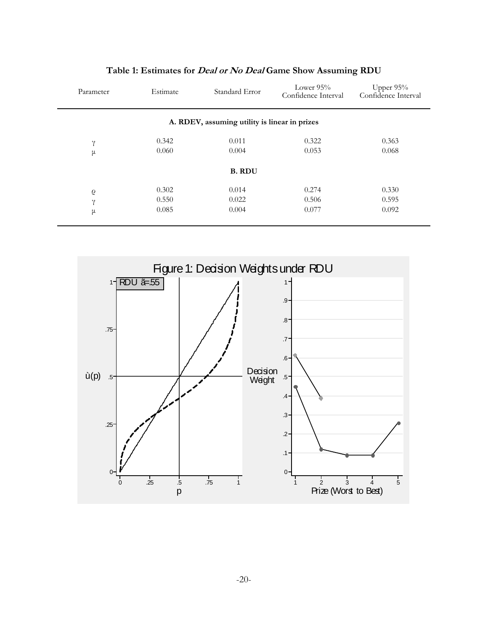| Parameter                                     | Estimate | Standard Error | Lower $95%$<br>Confidence Interval | Upper 95%<br>Confidence Interval |  |  |  |  |  |
|-----------------------------------------------|----------|----------------|------------------------------------|----------------------------------|--|--|--|--|--|
| A. RDEV, assuming utility is linear in prizes |          |                |                                    |                                  |  |  |  |  |  |
| γ                                             | 0.342    | 0.011          | 0.322                              | 0.363                            |  |  |  |  |  |
| μ                                             | 0.060    | 0.004          | 0.053                              | 0.068                            |  |  |  |  |  |
|                                               |          | <b>B. RDU</b>  |                                    |                                  |  |  |  |  |  |
| 6                                             | 0.302    | 0.014          | 0.274                              | 0.330                            |  |  |  |  |  |
| $\mathcal V$                                  | 0.550    | 0.022          | 0.506                              | 0.595                            |  |  |  |  |  |
| μ                                             | 0.085    | 0.004          | 0.077                              | 0.092                            |  |  |  |  |  |
|                                               |          |                |                                    |                                  |  |  |  |  |  |

**Table 1: Estimates for Deal or No Deal Game Show Assuming RDU**

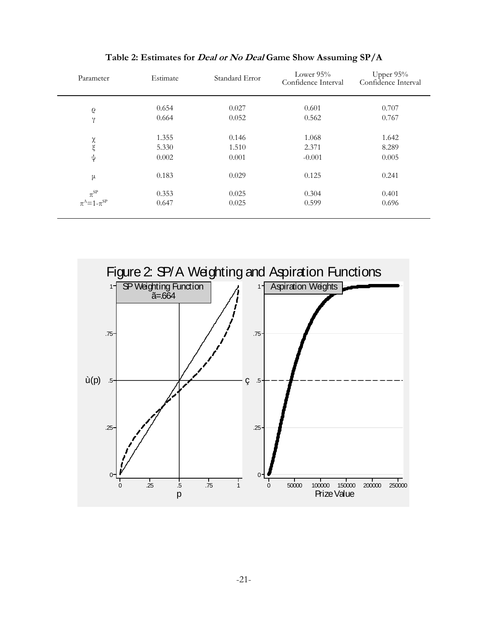| Parameter                     | Estimate | Standard Error | Lower $95%$<br>Confidence Interval | Upper 95%<br>Confidence Interval |  |
|-------------------------------|----------|----------------|------------------------------------|----------------------------------|--|
| 6                             | 0.654    | 0.027          | 0.601                              | 0.707                            |  |
| $\gamma$                      | 0.664    | 0.052          | 0.562                              | 0.767                            |  |
| χ                             | 1.355    | 0.146          | 1.068                              | 1.642                            |  |
| $\boldsymbol{\xi}$            | 5.330    | 1.510          | 2.371                              | 8.289                            |  |
| ψ                             | 0.002    | 0.001          | $-0.001$                           | 0.005                            |  |
| μ                             | 0.183    | 0.029          | 0.125                              | 0.241                            |  |
| $\pi^{\mathrm{SP}}$           | 0.353    | 0.025          | 0.304                              | 0.401                            |  |
| $\pi^A = 1 - \pi^{\text{SP}}$ | 0.647    | 0.025          | 0.599                              | 0.696                            |  |

**Table 2: Estimates for Deal or No Deal Game Show Assuming SP/A**

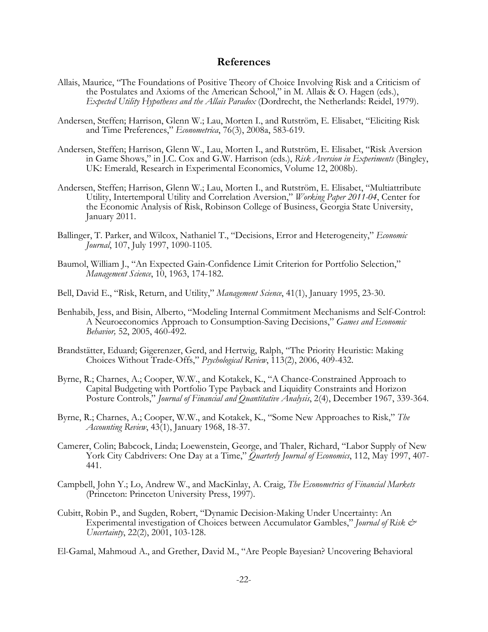## **References**

- Allais, Maurice, "The Foundations of Positive Theory of Choice Involving Risk and a Criticism of the Postulates and Axioms of the American School," in M. Allais & O. Hagen (eds.), *Expected Utility Hypotheses and the Allais Paradox* (Dordrecht, the Netherlands: Reidel, 1979).
- Andersen, Steffen; Harrison, Glenn W.; Lau, Morten I., and Rutström, E. Elisabet, "Eliciting Risk and Time Preferences," *Econometrica*, 76(3), 2008a, 583-619.
- Andersen, Steffen; Harrison, Glenn W., Lau, Morten I., and Rutström, E. Elisabet, "Risk Aversion in Game Shows," in J.C. Cox and G.W. Harrison (eds.), *Risk Aversion in Experiments* (Bingley, UK: Emerald, Research in Experimental Economics, Volume 12, 2008b).
- Andersen, Steffen; Harrison, Glenn W.; Lau, Morten I., and Rutström, E. Elisabet, "Multiattribute Utility, Intertemporal Utility and Correlation Aversion," *Working Paper 2011-04*, Center for the Economic Analysis of Risk, Robinson College of Business, Georgia State University, January 2011.
- Ballinger, T. Parker, and Wilcox, Nathaniel T., "Decisions, Error and Heterogeneity," *Economic Journal*, 107, July 1997, 1090-1105.
- Baumol, William J., "An Expected Gain-Confidence Limit Criterion for Portfolio Selection," *Management Science*, 10, 1963, 174-182.
- Bell, David E., "Risk, Return, and Utility," *Management Science*, 41(1), January 1995, 23-30.
- Benhabib, Jess, and Bisin, Alberto, "Modeling Internal Commitment Mechanisms and Self-Control: A Neuroeconomics Approach to Consumption-Saving Decisions," *Games and Economic Behavior,* 52, 2005, 460-492.
- Brandstätter, Eduard; Gigerenzer, Gerd, and Hertwig, Ralph, "The Priority Heuristic: Making Choices Without Trade-Offs," *Psychological Review*, 113(2), 2006, 409-432.
- Byrne, R.; Charnes, A.; Cooper, W.W., and Kotakek, K., "A Chance-Constrained Approach to Capital Budgeting with Portfolio Type Payback and Liquidity Constraints and Horizon Posture Controls," *Journal of Financial and Quantitative Analysis*, 2(4), December 1967, 339-364.
- Byrne, R.; Charnes, A.; Cooper, W.W., and Kotakek, K., "Some New Approaches to Risk," *The Accounting Review*, 43(1), January 1968, 18-37.
- Camerer, Colin; Babcock, Linda; Loewenstein, George, and Thaler, Richard, "Labor Supply of New York City Cabdrivers: One Day at a Time," *Quarterly Journal of Economics*, 112, May 1997, 407- 441.
- Campbell, John Y.; Lo, Andrew W., and MacKinlay, A. Craig, *The Econometrics of Financial Markets* (Princeton: Princeton University Press, 1997).
- Cubitt, Robin P., and Sugden, Robert, "Dynamic Decision-Making Under Uncertainty: An Experimental investigation of Choices between Accumulator Gambles," *Journal of Risk & Uncertainty*, 22(2), 2001, 103-128.

El-Gamal, Mahmoud A., and Grether, David M., "Are People Bayesian? Uncovering Behavioral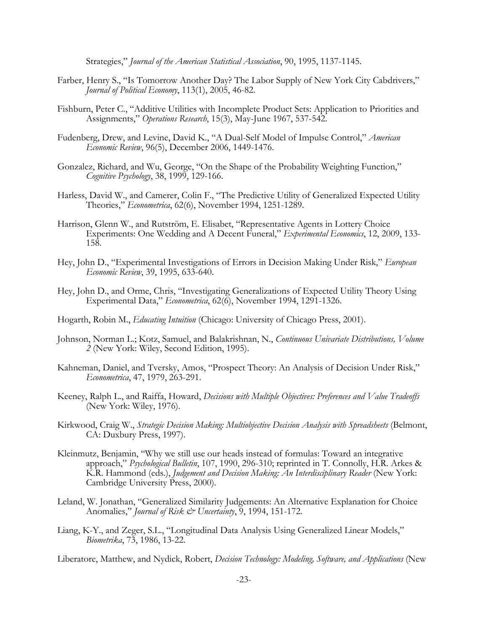Strategies," *Journal of the American Statistical Association*, 90, 1995, 1137-1145.

- Farber, Henry S., "Is Tomorrow Another Day? The Labor Supply of New York City Cabdrivers," *Journal of Political Economy*, 113(1), 2005, 46-82.
- Fishburn, Peter C., "Additive Utilities with Incomplete Product Sets: Application to Priorities and Assignments," *Operations Research*, 15(3), May-June 1967, 537-542.
- Fudenberg, Drew, and Levine, David K., "A Dual-Self Model of Impulse Control," *American Economic Review*, 96(5), December 2006, 1449-1476.
- Gonzalez, Richard, and Wu, George, "On the Shape of the Probability Weighting Function," *Cognitive Psychology*, 38, 1999, 129-166.
- Harless, David W., and Camerer, Colin F., "The Predictive Utility of Generalized Expected Utility Theories," *Econometrica*, 62(6), November 1994, 1251-1289.
- Harrison, Glenn W., and Rutström, E. Elisabet, "Representative Agents in Lottery Choice Experiments: One Wedding and A Decent Funeral," *Experimental Economics*, 12, 2009, 133- 158.
- Hey, John D., "Experimental Investigations of Errors in Decision Making Under Risk," *European Economic Review*, 39, 1995, 633-640.
- Hey, John D., and Orme, Chris, "Investigating Generalizations of Expected Utility Theory Using Experimental Data," *Econometrica*, 62(6), November 1994, 1291-1326.
- Hogarth, Robin M., *Educating Intuition* (Chicago: University of Chicago Press, 2001).
- Johnson, Norman L.; Kotz, Samuel, and Balakrishnan, N., *Continuous Univariate Distributions, Volume 2* (New York: Wiley, Second Edition, 1995).
- Kahneman, Daniel, and Tversky, Amos, "Prospect Theory: An Analysis of Decision Under Risk," *Econometrica*, 47, 1979, 263-291.
- Keeney, Ralph L., and Raiffa, Howard, *Decisions with Multiple Objectives: Preferences and Value Tradeoffs* (New York: Wiley, 1976).
- Kirkwood, Craig W., *Strategic Decision Making: Multiobjective Decision Analysis with Spreadsheets* (Belmont, CA: Duxbury Press, 1997).
- Kleinmutz, Benjamin, "Why we still use our heads instead of formulas: Toward an integrative approach," *Psychological Bulletin*, 107, 1990, 296-310; reprinted in T. Connolly, H.R. Arkes & K.R. Hammond (eds.), *Judgement and Decision Making: An Interdisciplinary Reader* (New York: Cambridge University Press, 2000).
- Leland, W. Jonathan, "Generalized Similarity Judgements: An Alternative Explanation for Choice Anomalies," *Journal of Risk & Uncertainty*, 9, 1994, 151-172.
- Liang, K-Y., and Zeger, S.L., "Longitudinal Data Analysis Using Generalized Linear Models," *Biometrika*, 73, 1986, 13-22.
- Liberatore, Matthew, and Nydick, Robert, *Decision Technology: Modeling, Software, and Applications* (New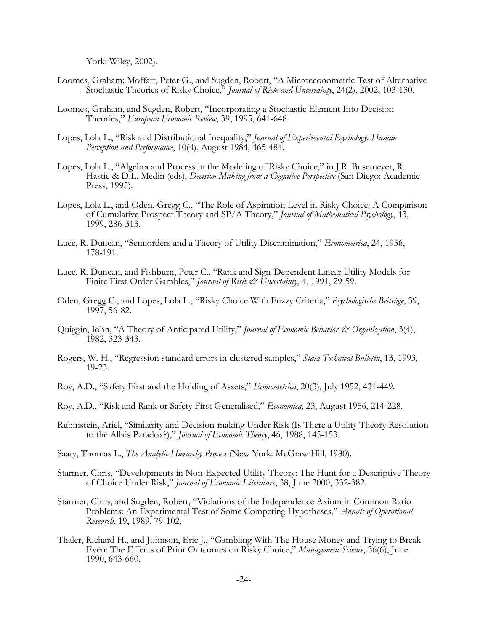York: Wiley, 2002).

- Loomes, Graham; Moffatt, Peter G., and Sugden, Robert, "A Microeconometric Test of Alternative Stochastic Theories of Risky Choice," *Journal of Risk and Uncertainty*, 24(2), 2002, 103-130.
- Loomes, Graham, and Sugden, Robert, "Incorporating a Stochastic Element Into Decision Theories," *European Economic Review*, 39, 1995, 641-648.
- Lopes, Lola L., "Risk and Distributional Inequality," *Journal of Experimental Psychology: Human Perception and Performance*, 10(4), August 1984, 465-484.
- Lopes, Lola L., "Algebra and Process in the Modeling of Risky Choice," in J.R. Busemeyer, R. Hastie & D.L. Medin (eds), *Decision Making from a Cognitive Perspective* (San Diego: Academic Press, 1995).
- Lopes, Lola L., and Oden, Gregg C., "The Role of Aspiration Level in Risky Choice: A Comparison of Cumulative Prospect Theory and SP/A Theory," *Journal of Mathematical Psychology*, 43, 1999, 286-313.
- Luce, R. Duncan, "Semiorders and a Theory of Utility Discrimination," *Econometrica*, 24, 1956, 178-191.
- Luce, R. Duncan, and Fishburn, Peter C., "Rank and Sign-Dependent Linear Utility Models for Finite First-Order Gambles," *Journal of Risk & Uncertainty*, 4, 1991, 29-59.
- Oden, Gregg C., and Lopes, Lola L., "Risky Choice With Fuzzy Criteria," *Psychologische Beiträge*, 39, 1997, 56-82.
- Quiggin, John, "A Theory of Anticipated Utility," *Journal of Economic Behavior & Organization*, 3(4), 1982, 323-343.
- Rogers, W. H., "Regression standard errors in clustered samples," *Stata Technical Bulletin*, 13, 1993, 19-23.
- Roy, A.D., "Safety First and the Holding of Assets," *Econometrica*, 20(3), July 1952, 431-449.
- Roy, A.D., "Risk and Rank or Safety First Generalised," *Economica*, 23, August 1956, 214-228.
- Rubinstein, Ariel, "Similarity and Decision-making Under Risk (Is There a Utility Theory Resolution to the Allais Paradox?)," *Journal of Economic Theory*, 46, 1988, 145-153.
- Saaty, Thomas L., *The Analytic Hierarchy Process* (New York: McGraw Hill, 1980).
- Starmer, Chris, "Developments in Non-Expected Utility Theory: The Hunt for a Descriptive Theory of Choice Under Risk," *Journal of Economic Literature*, 38, June 2000, 332-382.
- Starmer, Chris, and Sugden, Robert, "Violations of the Independence Axiom in Common Ratio Problems: An Experimental Test of Some Competing Hypotheses," *Annals of Operational Research*, 19, 1989, 79-102.
- Thaler, Richard H., and Johnson, Eric J., "Gambling With The House Money and Trying to Break Even: The Effects of Prior Outcomes on Risky Choice," *Management Science*, 36(6), June 1990, 643-660.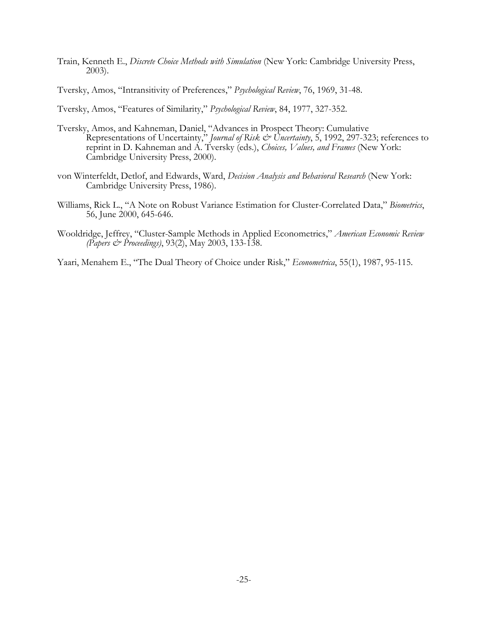Train, Kenneth E., *Discrete Choice Methods with Simulation* (New York: Cambridge University Press, 2003).

Tversky, Amos, "Intransitivity of Preferences," *Psychological Review*, 76, 1969, 31-48.

Tversky, Amos, "Features of Similarity," *Psychological Review*, 84, 1977, 327-352.

- Tversky, Amos, and Kahneman, Daniel, "Advances in Prospect Theory: Cumulative Representations of Uncertainty," *Journal of Risk & Uncertainty*, 5, 1992, 297-323; references to reprint in D. Kahneman and A. Tversky (eds.), *Choices, Values, and Frames* (New York: Cambridge University Press, 2000).
- von Winterfeldt, Detlof, and Edwards, Ward, *Decision Analysis and Behavioral Research* (New York: Cambridge University Press, 1986).
- Williams, Rick L., "A Note on Robust Variance Estimation for Cluster-Correlated Data," *Biometrics*, 56, June 2000, 645-646.
- Wooldridge, Jeffrey, "Cluster-Sample Methods in Applied Econometrics," *American Economic Review (Papers & Proceedings)*, 93(2), May 2003, 133-138.

Yaari, Menahem E., "The Dual Theory of Choice under Risk," *Econometrica*, 55(1), 1987, 95-115.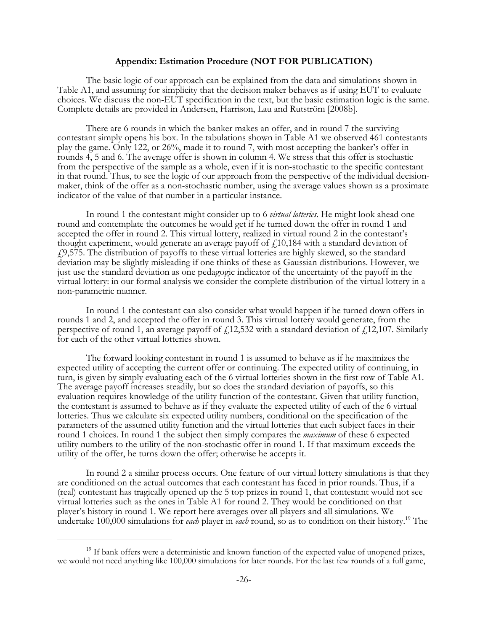### **Appendix: Estimation Procedure (NOT FOR PUBLICATION)**

The basic logic of our approach can be explained from the data and simulations shown in Table A1, and assuming for simplicity that the decision maker behaves as if using EUT to evaluate choices. We discuss the non-EUT specification in the text, but the basic estimation logic is the same. Complete details are provided in Andersen, Harrison, Lau and Rutström [2008b].

There are 6 rounds in which the banker makes an offer, and in round 7 the surviving contestant simply opens his box. In the tabulations shown in Table A1 we observed 461 contestants play the game. Only 122, or 26%, made it to round 7, with most accepting the banker's offer in rounds 4, 5 and 6. The average offer is shown in column 4. We stress that this offer is stochastic from the perspective of the sample as a whole, even if it is non-stochastic to the specific contestant in that round. Thus, to see the logic of our approach from the perspective of the individual decisionmaker, think of the offer as a non-stochastic number, using the average values shown as a proximate indicator of the value of that number in a particular instance.

In round 1 the contestant might consider up to 6 *virtual lotteries*. He might look ahead one round and contemplate the outcomes he would get if he turned down the offer in round 1 and accepted the offer in round 2. This virtual lottery, realized in virtual round 2 in the contestant's thought experiment, would generate an average payoff of  $f_{10,184}$  with a standard deviation of  $f(9,575)$ . The distribution of payoffs to these virtual lotteries are highly skewed, so the standard deviation may be slightly misleading if one thinks of these as Gaussian distributions. However, we just use the standard deviation as one pedagogic indicator of the uncertainty of the payoff in the virtual lottery: in our formal analysis we consider the complete distribution of the virtual lottery in a non-parametric manner.

In round 1 the contestant can also consider what would happen if he turned down offers in rounds 1 and 2, and accepted the offer in round 3. This virtual lottery would generate, from the perspective of round 1, an average payoff of  $f(12,532)$  with a standard deviation of  $f(12,107)$ . Similarly for each of the other virtual lotteries shown.

The forward looking contestant in round 1 is assumed to behave as if he maximizes the expected utility of accepting the current offer or continuing. The expected utility of continuing, in turn, is given by simply evaluating each of the 6 virtual lotteries shown in the first row of Table A1. The average payoff increases steadily, but so does the standard deviation of payoffs, so this evaluation requires knowledge of the utility function of the contestant. Given that utility function, the contestant is assumed to behave as if they evaluate the expected utility of each of the 6 virtual lotteries. Thus we calculate six expected utility numbers, conditional on the specification of the parameters of the assumed utility function and the virtual lotteries that each subject faces in their round 1 choices. In round 1 the subject then simply compares the *maximum* of these 6 expected utility numbers to the utility of the non-stochastic offer in round 1. If that maximum exceeds the utility of the offer, he turns down the offer; otherwise he accepts it.

In round 2 a similar process occurs. One feature of our virtual lottery simulations is that they are conditioned on the actual outcomes that each contestant has faced in prior rounds. Thus, if a (real) contestant has tragically opened up the 5 top prizes in round 1, that contestant would not see virtual lotteries such as the ones in Table A1 for round 2. They would be conditioned on that player's history in round 1. We report here averages over all players and all simulations. We undertake 100,000 simulations for *each* player in *each* round, so as to condition on their history.19 The

 $19$  If bank offers were a deterministic and known function of the expected value of unopened prizes, we would not need anything like 100,000 simulations for later rounds. For the last few rounds of a full game,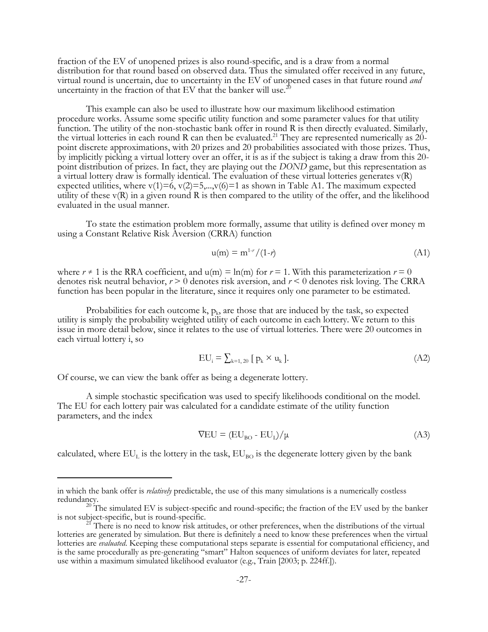fraction of the EV of unopened prizes is also round-specific, and is a draw from a normal distribution for that round based on observed data. Thus the simulated offer received in any future, virtual round is uncertain, due to uncertainty in the EV of unopened cases in that future round *and* uncertainty in the fraction of that EV that the banker will use. $^{20}$ 

This example can also be used to illustrate how our maximum likelihood estimation procedure works. Assume some specific utility function and some parameter values for that utility function. The utility of the non-stochastic bank offer in round R is then directly evaluated. Similarly, the virtual lotteries in each round R can then be evaluated.<sup>21</sup> They are represented numerically as 20point discrete approximations, with 20 prizes and 20 probabilities associated with those prizes. Thus, by implicitly picking a virtual lottery over an offer, it is as if the subject is taking a draw from this 20 point distribution of prizes. In fact, they are playing out the *DOND* game, but this representation as a virtual lottery draw is formally identical. The evaluation of these virtual lotteries generates  $v(R)$ expected utilities, where  $v(1)=6$ ,  $v(2)=5,...,v(6)=1$  as shown in Table A1. The maximum expected utility of these  $v(R)$  in a given round  $R$  is then compared to the utility of the offer, and the likelihood evaluated in the usual manner.

To state the estimation problem more formally, assume that utility is defined over money m using a Constant Relative Risk Aversion (CRRA) function

$$
u(m) = m^{1-r}/(1-r) \tag{A1}
$$

where  $r \neq 1$  is the RRA coefficient, and  $u(m) = ln(m)$  for  $r = 1$ . With this parameterization  $r = 0$ denotes risk neutral behavior,  $r > 0$  denotes risk aversion, and  $r < 0$  denotes risk loving. The CRRA function has been popular in the literature, since it requires only one parameter to be estimated.

Probabilities for each outcome k,  $p_k$ , are those that are induced by the task, so expected utility is simply the probability weighted utility of each outcome in each lottery. We return to this issue in more detail below, since it relates to the use of virtual lotteries. There were 20 outcomes in each virtual lottery i, so

$$
EU_i = \sum_{k=1,20} \left[ p_k \times u_k \right]. \tag{A2}
$$

Of course, we can view the bank offer as being a degenerate lottery.

A simple stochastic specification was used to specify likelihoods conditional on the model. The EU for each lottery pair was calculated for a candidate estimate of the utility function parameters, and the index

$$
\nabla EU = (EU_{BO} - EU_{I})/\mu \tag{A3}
$$

calculated, where  $EU_L$  is the lottery in the task,  $EU_{BO}$  is the degenerate lottery given by the bank

in which the bank offer is *relatively* predictable, the use of this many simulations is a numerically costless

<sup>&</sup>lt;sup>20</sup> The simulated EV is subject-specific and round-specific; the fraction of the EV used by the banker is not subject-specific, but is round-specific.

<sup>&</sup>lt;sup>21</sup> There is no need to know risk attitudes, or other preferences, when the distributions of the virtual lotteries are generated by simulation. But there is definitely a need to know these preferences when the virtual lotteries are *evaluated*. Keeping these computational steps separate is essential for computational efficiency, and is the same procedurally as pre-generating "smart" Halton sequences of uniform deviates for later, repeated use within a maximum simulated likelihood evaluator (e.g., Train [2003; p. 224ff.]).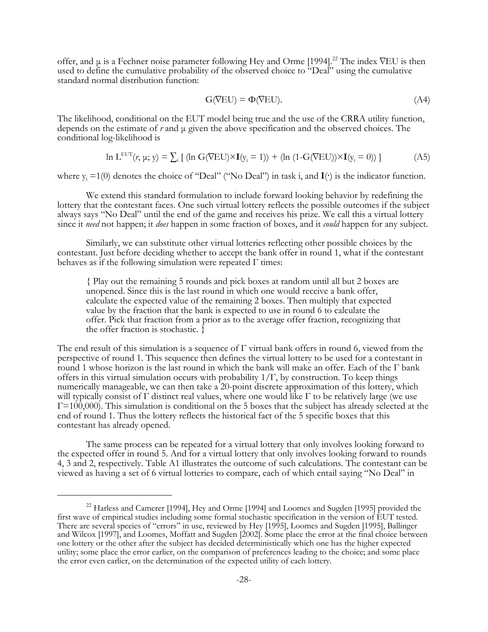offer, and  $\mu$  is a Fechner noise parameter following Hey and Orme [1994].<sup>22</sup> The index VEU is then used to define the cumulative probability of the observed choice to "Deal" using the cumulative standard normal distribution function:

$$
G(\nabla EU) = \Phi(\nabla EU). \tag{A4}
$$

The likelihood, conditional on the EUT model being true and the use of the CRRA utility function, depends on the estimate of *r* and μ given the above specification and the observed choices. The conditional log-likelihood is

$$
\ln L^{\text{EUT}}(r, \mu; y) = \sum_{i} \left[ (\ln G(\nabla E U) \times \mathbf{I}(y_i = 1)) + (\ln (1 - G(\nabla E U)) \times \mathbf{I}(y_i = 0)) \right] \tag{A5}
$$

where  $y_i = 1(0)$  denotes the choice of "Deal" ("No Deal") in task i, and  $I(\cdot)$  is the indicator function.

We extend this standard formulation to include forward looking behavior by redefining the lottery that the contestant faces. One such virtual lottery reflects the possible outcomes if the subject always says "No Deal" until the end of the game and receives his prize. We call this a virtual lottery since it *need* not happen; it *does* happen in some fraction of boxes, and it *could* happen for any subject.

Similarly, we can substitute other virtual lotteries reflecting other possible choices by the contestant. Just before deciding whether to accept the bank offer in round 1, what if the contestant behaves as if the following simulation were repeated  $\Gamma$  times:

{ Play out the remaining 5 rounds and pick boxes at random until all but 2 boxes are unopened. Since this is the last round in which one would receive a bank offer, calculate the expected value of the remaining 2 boxes. Then multiply that expected value by the fraction that the bank is expected to use in round 6 to calculate the offer. Pick that fraction from a prior as to the average offer fraction, recognizing that the offer fraction is stochastic.  $\tilde{\mathcal{E}}$ 

The end result of this simulation is a sequence of Γ virtual bank offers in round 6, viewed from the perspective of round 1. This sequence then defines the virtual lottery to be used for a contestant in round 1 whose horizon is the last round in which the bank will make an offer. Each of the Γ bank offers in this virtual simulation occurs with probability  $1/\Gamma$ , by construction. To keep things numerically manageable, we can then take a 20-point discrete approximation of this lottery, which will typically consist of Γ distinct real values, where one would like Γ to be relatively large (we use  $\Gamma$ =100,000). This simulation is conditional on the 5 boxes that the subject has already selected at the end of round 1. Thus the lottery reflects the historical fact of the 5 specific boxes that this contestant has already opened.

The same process can be repeated for a virtual lottery that only involves looking forward to the expected offer in round 5. And for a virtual lottery that only involves looking forward to rounds 4, 3 and 2, respectively. Table A1 illustrates the outcome of such calculations. The contestant can be viewed as having a set of 6 virtual lotteries to compare, each of which entail saying "No Deal" in

<sup>&</sup>lt;sup>22</sup> Harless and Camerer [1994], Hey and Orme [1994] and Loomes and Sugden [1995] provided the first wave of empirical studies including some formal stochastic specification in the version of EUT tested. There are several species of "errors" in use, reviewed by Hey [1995], Loomes and Sugden [1995], Ballinger and Wilcox [1997], and Loomes, Moffatt and Sugden [2002]. Some place the error at the final choice between one lottery or the other after the subject has decided deterministically which one has the higher expected utility; some place the error earlier, on the comparison of preferences leading to the choice; and some place the error even earlier, on the determination of the expected utility of each lottery.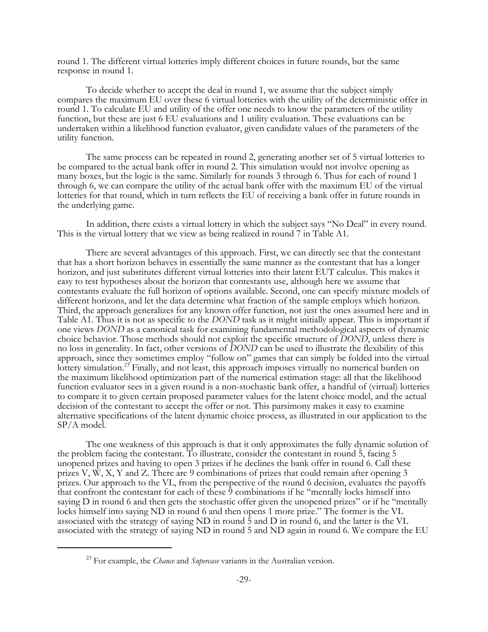round 1. The different virtual lotteries imply different choices in future rounds, but the same response in round 1.

To decide whether to accept the deal in round 1, we assume that the subject simply compares the maximum EU over these 6 virtual lotteries with the utility of the deterministic offer in round 1. To calculate EU and utility of the offer one needs to know the parameters of the utility function, but these are just 6 EU evaluations and 1 utility evaluation. These evaluations can be undertaken within a likelihood function evaluator, given candidate values of the parameters of the utility function.

The same process can be repeated in round 2, generating another set of 5 virtual lotteries to be compared to the actual bank offer in round 2. This simulation would not involve opening as many boxes, but the logic is the same. Similarly for rounds 3 through 6. Thus for each of round 1 through 6, we can compare the utility of the actual bank offer with the maximum EU of the virtual lotteries for that round, which in turn reflects the EU of receiving a bank offer in future rounds in the underlying game.

In addition, there exists a virtual lottery in which the subject says "No Deal" in every round. This is the virtual lottery that we view as being realized in round 7 in Table A1.

There are several advantages of this approach. First, we can directly see that the contestant that has a short horizon behaves in essentially the same manner as the contestant that has a longer horizon, and just substitutes different virtual lotteries into their latent EUT calculus. This makes it easy to test hypotheses about the horizon that contestants use, although here we assume that contestants evaluate the full horizon of options available. Second, one can specify mixture models of different horizons, and let the data determine what fraction of the sample employs which horizon. Third, the approach generalizes for any known offer function, not just the ones assumed here and in Table A1. Thus it is not as specific to the *DOND* task as it might initially appear. This is important if one views *DOND* as a canonical task for examining fundamental methodological aspects of dynamic choice behavior. Those methods should not exploit the specific structure of *DOND*, unless there is no loss in generality. In fact, other versions of *DOND* can be used to illustrate the flexibility of this approach, since they sometimes employ "follow on" games that can simply be folded into the virtual lottery simulation.<sup>23</sup> Finally, and not least, this approach imposes virtually no numerical burden on the maximum likelihood optimization part of the numerical estimation stage: all that the likelihood function evaluator sees in a given round is a non-stochastic bank offer, a handful of (virtual) lotteries to compare it to given certain proposed parameter values for the latent choice model, and the actual decision of the contestant to accept the offer or not. This parsimony makes it easy to examine alternative specifications of the latent dynamic choice process, as illustrated in our application to the SP/A model.

The one weakness of this approach is that it only approximates the fully dynamic solution of the problem facing the contestant. To illustrate, consider the contestant in round 5, facing 5 unopened prizes and having to open 3 prizes if he declines the bank offer in round 6. Call these prizes V, W, X, Y and Z. There are 9 combinations of prizes that could remain after opening 3 prizes. Our approach to the VL, from the perspective of the round 6 decision, evaluates the payoffs that confront the contestant for each of these  $\hat{9}$  combinations if he "mentally locks himself into saying D in round 6 and then gets the stochastic offer given the unopened prizes" or if he "mentally locks himself into saying ND in round 6 and then opens 1 more prize." The former is the VL associated with the strategy of saying ND in round 5 and D in round 6, and the latter is the VL associated with the strategy of saying ND in round 5 and ND again in round 6. We compare the EU

<sup>23</sup> For example, the *Chance* and *Supercase* variants in the Australian version.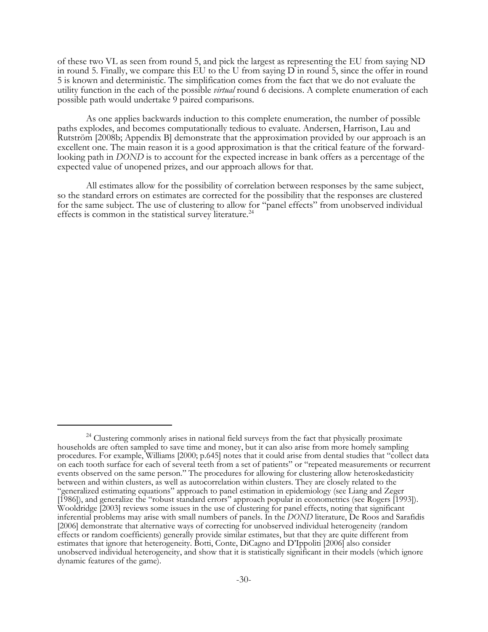of these two VL as seen from round 5, and pick the largest as representing the EU from saying ND in round 5. Finally, we compare this EU to the U from saying D in round 5, since the offer in round 5 is known and deterministic. The simplification comes from the fact that we do not evaluate the utility function in the each of the possible *virtual* round 6 decisions. A complete enumeration of each possible path would undertake 9 paired comparisons.

As one applies backwards induction to this complete enumeration, the number of possible paths explodes, and becomes computationally tedious to evaluate. Andersen, Harrison, Lau and Rutström [2008b; Appendix B] demonstrate that the approximation provided by our approach is an excellent one. The main reason it is a good approximation is that the critical feature of the forwardlooking path in *DOND* is to account for the expected increase in bank offers as a percentage of the expected value of unopened prizes, and our approach allows for that.

All estimates allow for the possibility of correlation between responses by the same subject, so the standard errors on estimates are corrected for the possibility that the responses are clustered for the same subject. The use of clustering to allow for "panel effects" from unobserved individual effects is common in the statistical survey literature.<sup>24</sup>

<sup>&</sup>lt;sup>24</sup> Clustering commonly arises in national field surveys from the fact that physically proximate households are often sampled to save time and money, but it can also arise from more homely sampling procedures. For example, Williams [2000; p.645] notes that it could arise from dental studies that "collect data on each tooth surface for each of several teeth from a set of patients" or "repeated measurements or recurrent events observed on the same person." The procedures for allowing for clustering allow heteroskedasticity between and within clusters, as well as autocorrelation within clusters. They are closely related to the "generalized estimating equations" approach to panel estimation in epidemiology (see Liang and Zeger [1986]), and generalize the "robust standard errors" approach popular in econometrics (see Rogers [1993]). Wooldridge [2003] reviews some issues in the use of clustering for panel effects, noting that significant inferential problems may arise with small numbers of panels. In the *DOND* literature, De Roos and Sarafidis [2006] demonstrate that alternative ways of correcting for unobserved individual heterogeneity (random effects or random coefficients) generally provide similar estimates, but that they are quite different from estimates that ignore that heterogeneity. Botti, Conte, DiCagno and D'Ippoliti [2006] also consider unobserved individual heterogeneity, and show that it is statistically significant in their models (which ignore dynamic features of the game).